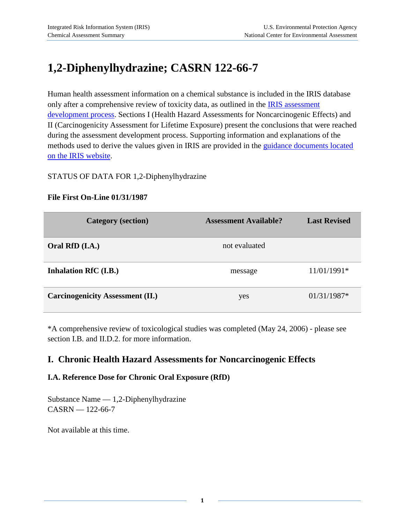# **1,2-Diphenylhydrazine; CASRN 122-66-7**

Human health assessment information on a chemical substance is included in the IRIS database only after a comprehensive review of toxicity data, as outlined in the **IRIS** assessment [development process.](http://www.epa.gov/iris/process.htm) Sections I (Health Hazard Assessments for Noncarcinogenic Effects) and II (Carcinogenicity Assessment for Lifetime Exposure) present the conclusions that were reached during the assessment development process. Supporting information and explanations of the methods used to derive the values given in IRIS are provided in the [guidance documents located](http://www.epa.gov/iris/backgrd.html)  [on the IRIS website.](http://www.epa.gov/iris/backgrd.html)

#### STATUS OF DATA FOR 1,2-Diphenylhydrazine

#### **File First On-Line 01/31/1987**

| <b>Category</b> (section)               | <b>Assessment Available?</b> | <b>Last Revised</b> |
|-----------------------------------------|------------------------------|---------------------|
| Oral RfD (I.A.)                         | not evaluated                |                     |
| Inhalation RfC (I.B.)                   | message                      | 11/01/1991*         |
| <b>Carcinogenicity Assessment (II.)</b> | yes                          | $01/31/1987*$       |

\*A comprehensive review of toxicological studies was completed (May 24, 2006) - please see section I.B. and II.D.2. for more information.

# **I. Chronic Health Hazard Assessments for Noncarcinogenic Effects**

#### **I.A. Reference Dose for Chronic Oral Exposure (RfD)**

Substance Name — 1,2-Diphenylhydrazine CASRN — 122-66-7

Not available at this time.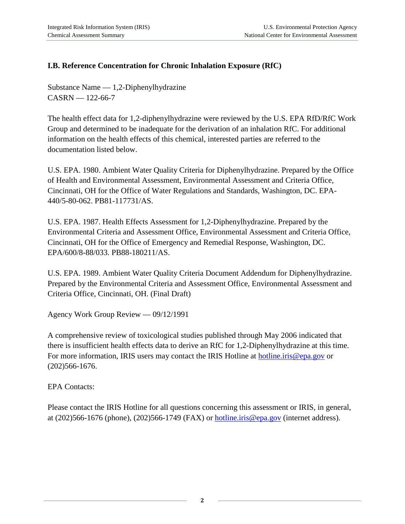# **I.B. Reference Concentration for Chronic Inhalation Exposure (RfC)**

Substance Name — 1,2-Diphenylhydrazine  $CASRN = 122-66-7$ 

The health effect data for 1,2-diphenylhydrazine were reviewed by the U.S. EPA RfD/RfC Work Group and determined to be inadequate for the derivation of an inhalation RfC. For additional information on the health effects of this chemical, interested parties are referred to the documentation listed below.

U.S. EPA. 1980. Ambient Water Quality Criteria for Diphenylhydrazine. Prepared by the Office of Health and Environmental Assessment, Environmental Assessment and Criteria Office, Cincinnati, OH for the Office of Water Regulations and Standards, Washington, DC. EPA-440/5-80-062. PB81-117731/AS.

U.S. EPA. 1987. Health Effects Assessment for 1,2-Diphenylhydrazine. Prepared by the Environmental Criteria and Assessment Office, Environmental Assessment and Criteria Office, Cincinnati, OH for the Office of Emergency and Remedial Response, Washington, DC. EPA/600/8-88/033. PB88-180211/AS.

U.S. EPA. 1989. Ambient Water Quality Criteria Document Addendum for Diphenylhydrazine. Prepared by the Environmental Criteria and Assessment Office, Environmental Assessment and Criteria Office, Cincinnati, OH. (Final Draft)

Agency Work Group Review — 09/12/1991

A comprehensive review of toxicological studies published through May 2006 indicated that there is insufficient health effects data to derive an RfC for 1,2-Diphenylhydrazine at this time. For more information, IRIS users may contact the IRIS Hotline at [hotline.iris@epa.gov](mailto:hotline.iris@epa.gov) or (202)566-1676.

EPA Contacts:

Please contact the IRIS Hotline for all questions concerning this assessment or IRIS, in general, at (202)566-1676 (phone), (202)566-1749 (FAX) or [hotline.iris@epa.gov](mailto:hotline.iris@epa.gov) (internet address).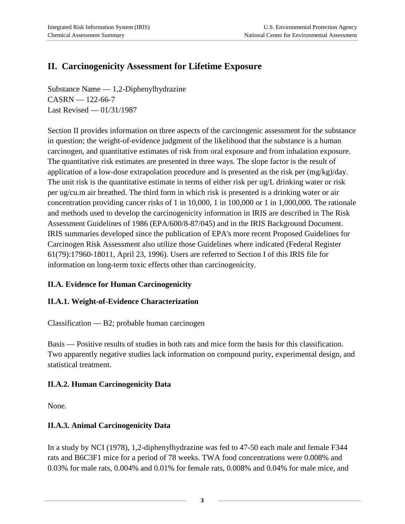# **II. Carcinogenicity Assessment for Lifetime Exposure**

Substance Name — 1,2-Diphenylhydrazine  $CASRN = 122-66-7$ Last Revised — 01/31/1987

Section II provides information on three aspects of the carcinogenic assessment for the substance in question; the weight-of-evidence judgment of the likelihood that the substance is a human carcinogen, and quantitative estimates of risk from oral exposure and from inhalation exposure. The quantitative risk estimates are presented in three ways. The slope factor is the result of application of a low-dose extrapolation procedure and is presented as the risk per (mg/kg)/day. The unit risk is the quantitative estimate in terms of either risk per ug/L drinking water or risk per ug/cu.m air breathed. The third form in which risk is presented is a drinking water or air concentration providing cancer risks of 1 in 10,000, 1 in 100,000 or 1 in 1,000,000. The rationale and methods used to develop the carcinogenicity information in IRIS are described in The Risk Assessment Guidelines of 1986 (EPA/600/8-87/045) and in the IRIS Background Document. IRIS summaries developed since the publication of EPA's more recent Proposed Guidelines for Carcinogen Risk Assessment also utilize those Guidelines where indicated (Federal Register 61(79):17960-18011, April 23, 1996). Users are referred to Section I of this IRIS file for information on long-term toxic effects other than carcinogenicity.

# **II.A. Evidence for Human Carcinogenicity**

# **II.A.1. Weight-of-Evidence Characterization**

Classification — B2; probable human carcinogen

Basis — Positive results of studies in both rats and mice form the basis for this classification. Two apparently negative studies lack information on compound purity, experimental design, and statistical treatment.

#### **II.A.2. Human Carcinogenicity Data**

None.

# **II.A.3. Animal Carcinogenicity Data**

In a study by NCI (1978), 1,2-diphenylhydrazine was fed to 47-50 each male and female F344 rats and B6C3F1 mice for a period of 78 weeks. TWA food concentrations were 0.008% and 0.03% for male rats, 0.004% and 0.01% for female rats, 0.008% and 0.04% for male mice, and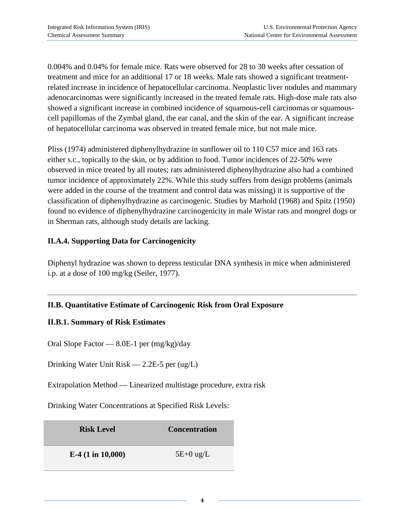0.004% and 0.04% for female mice. Rats were observed for 28 to 30 weeks after cessation of treatment and mice for an additional 17 or 18 weeks. Male rats showed a significant treatmentrelated increase in incidence of hepatocellular carcinoma. Neoplastic liver nodules and mammary adenocarcinomas were significantly increased in the treated female rats. High-dose male rats also showed a significant increase in combined incidence of squamous-cell carcinomas or squamouscell papillomas of the Zymbal gland, the ear canal, and the skin of the ear. A significant increase of hepatocellular carcinoma was observed in treated female mice, but not male mice.

Pliss (1974) administered diphenylhydrazine in sunflower oil to 110 C57 mice and 163 rats either s.c., topically to the skin, or by addition to food. Tumor incidences of 22-50% were observed in mice treated by all routes; rats administered diphenylhydrazine also had a combined tumor incidence of approximately 22%. While this study suffers from design problems (animals were added in the course of the treatment and control data was missing) it is supportive of the classification of diphenylhydrazine as carcinogenic. Studies by Marhold (1968) and Spitz (1950) found no evidence of diphenylhydrazine carcinogenicity in male Wistar rats and mongrel dogs or in Sherman rats, although study details are lacking.

### **II.A.4. Supporting Data for Carcinogenicity**

Diphenyl hydrazine was shown to depress testicular DNA synthesis in mice when administered i.p. at a dose of 100 mg/kg (Seiler, 1977).

# **II.B. Quantitative Estimate of Carcinogenic Risk from Oral Exposure**

#### **II.B.1. Summary of Risk Estimates**

Oral Slope Factor — 8.0E-1 per (mg/kg)/day

Drinking Water Unit Risk — 2.2E-5 per (ug/L)

Extrapolation Method — Linearized multistage procedure, extra risk

Drinking Water Concentrations at Specified Risk Levels:

| <b>Risk Level</b>            | <b>Concentration</b> |
|------------------------------|----------------------|
| E-4 $(1 \text{ in } 10,000)$ | $5E+0$ ug/L          |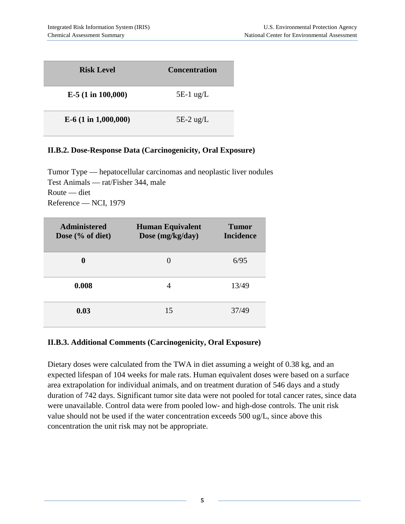| <b>Risk Level</b>      | <b>Concentration</b> |
|------------------------|----------------------|
| $E-5$ (1 in 100,000)   | $5E-1$ ug/L          |
| $E-6$ (1 in 1,000,000) | $5E-2$ ug/L          |

# **II.B.2. Dose-Response Data (Carcinogenicity, Oral Exposure)**

Tumor Type — hepatocellular carcinomas and neoplastic liver nodules Test Animals — rat/Fisher 344, male Route — diet Reference — NCI, 1979

| <b>Administered</b><br>Dose $(\%$ of diet) | <b>Human Equivalent</b><br>Dose (mg/kg/day) | Tumor<br><b>Incidence</b> |
|--------------------------------------------|---------------------------------------------|---------------------------|
| $\mathbf 0$                                | $\left( \right)$                            | 6/95                      |
| 0.008                                      | 4                                           | 13/49                     |
| 0.03                                       | 15                                          | 37/49                     |

#### **II.B.3. Additional Comments (Carcinogenicity, Oral Exposure)**

Dietary doses were calculated from the TWA in diet assuming a weight of 0.38 kg, and an expected lifespan of 104 weeks for male rats. Human equivalent doses were based on a surface area extrapolation for individual animals, and on treatment duration of 546 days and a study duration of 742 days. Significant tumor site data were not pooled for total cancer rates, since data were unavailable. Control data were from pooled low- and high-dose controls. The unit risk value should not be used if the water concentration exceeds 500 ug/L, since above this concentration the unit risk may not be appropriate.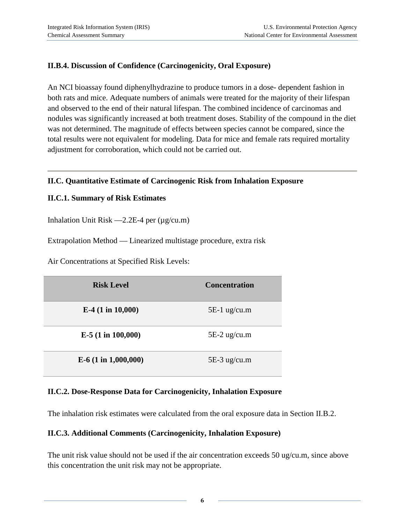# **II.B.4. Discussion of Confidence (Carcinogenicity, Oral Exposure)**

An NCI bioassay found diphenylhydrazine to produce tumors in a dose- dependent fashion in both rats and mice. Adequate numbers of animals were treated for the majority of their lifespan and observed to the end of their natural lifespan. The combined incidence of carcinomas and nodules was significantly increased at both treatment doses. Stability of the compound in the diet was not determined. The magnitude of effects between species cannot be compared, since the total results were not equivalent for modeling. Data for mice and female rats required mortality adjustment for corroboration, which could not be carried out.

#### **II.C. Quantitative Estimate of Carcinogenic Risk from Inhalation Exposure**

#### **II.C.1. Summary of Risk Estimates**

Inhalation Unit Risk  $-2.2E-4$  per ( $\mu$ g/cu.m)

Extrapolation Method — Linearized multistage procedure, extra risk

Air Concentrations at Specified Risk Levels:

| <b>Risk Level</b>            | <b>Concentration</b> |
|------------------------------|----------------------|
| E-4 $(1 \text{ in } 10,000)$ | $5E-1$ ug/cu.m       |
| $E-5$ (1 in 100,000)         | $5E-2$ ug/cu.m       |
| $E-6$ (1 in 1,000,000)       | $5E-3$ ug/cu.m       |

#### **II.C.2. Dose-Response Data for Carcinogenicity, Inhalation Exposure**

The inhalation risk estimates were calculated from the oral exposure data in Section II.B.2.

#### **II.C.3. Additional Comments (Carcinogenicity, Inhalation Exposure)**

The unit risk value should not be used if the air concentration exceeds 50 ug/cu.m, since above this concentration the unit risk may not be appropriate.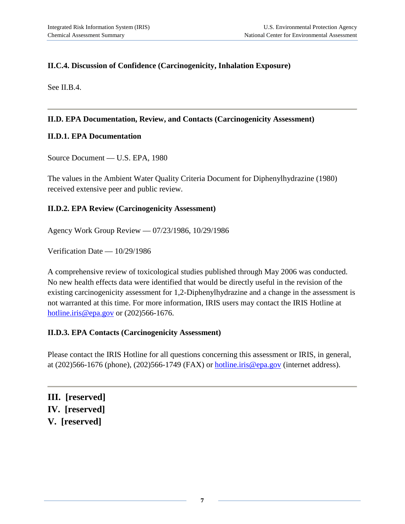# **II.C.4. Discussion of Confidence (Carcinogenicity, Inhalation Exposure)**

See II.B.4.

#### **II.D. EPA Documentation, Review, and Contacts (Carcinogenicity Assessment)**

#### **II.D.1. EPA Documentation**

Source Document — U.S. EPA, 1980

The values in the Ambient Water Quality Criteria Document for Diphenylhydrazine (1980) received extensive peer and public review.

#### **II.D.2. EPA Review (Carcinogenicity Assessment)**

Agency Work Group Review — 07/23/1986, 10/29/1986

Verification Date — 10/29/1986

A comprehensive review of toxicological studies published through May 2006 was conducted. No new health effects data were identified that would be directly useful in the revision of the existing carcinogenicity assessment for 1,2-Diphenylhydrazine and a change in the assessment is not warranted at this time. For more information, IRIS users may contact the IRIS Hotline at [hotline.iris@epa.gov](mailto:hotline.iris@epa.gov) or (202)566-1676.

#### **II.D.3. EPA Contacts (Carcinogenicity Assessment)**

Please contact the IRIS Hotline for all questions concerning this assessment or IRIS, in general, at (202)566-1676 (phone), (202)566-1749 (FAX) or [hotline.iris@epa.gov](mailto:hotline.iris@epa.gov) (internet address).

**III. [reserved] IV. [reserved] V. [reserved]**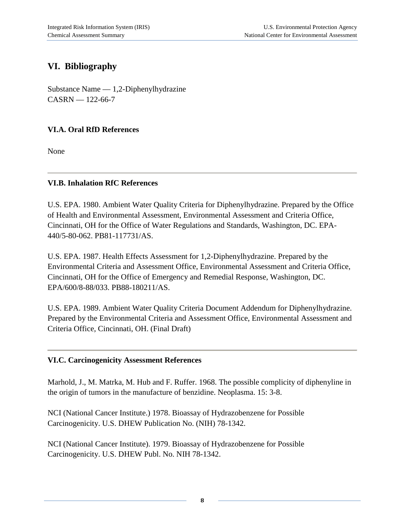# **VI. Bibliography**

Substance Name — 1,2-Diphenylhydrazine  $CASRN - 122-66-7$ 

# **VI.A. Oral RfD References**

None

### **VI.B. Inhalation RfC References**

U.S. EPA. 1980. Ambient Water Quality Criteria for Diphenylhydrazine. Prepared by the Office of Health and Environmental Assessment, Environmental Assessment and Criteria Office, Cincinnati, OH for the Office of Water Regulations and Standards, Washington, DC. EPA-440/5-80-062. PB81-117731/AS.

U.S. EPA. 1987. Health Effects Assessment for 1,2-Diphenylhydrazine. Prepared by the Environmental Criteria and Assessment Office, Environmental Assessment and Criteria Office, Cincinnati, OH for the Office of Emergency and Remedial Response, Washington, DC. EPA/600/8-88/033. PB88-180211/AS.

U.S. EPA. 1989. Ambient Water Quality Criteria Document Addendum for Diphenylhydrazine. Prepared by the Environmental Criteria and Assessment Office, Environmental Assessment and Criteria Office, Cincinnati, OH. (Final Draft)

#### **VI.C. Carcinogenicity Assessment References**

Marhold, J., M. Matrka, M. Hub and F. Ruffer. 1968. The possible complicity of diphenyline in the origin of tumors in the manufacture of benzidine. Neoplasma. 15: 3-8.

NCI (National Cancer Institute.) 1978. Bioassay of Hydrazobenzene for Possible Carcinogenicity. U.S. DHEW Publication No. (NIH) 78-1342.

NCI (National Cancer Institute). 1979. Bioassay of Hydrazobenzene for Possible Carcinogenicity. U.S. DHEW Publ. No. NIH 78-1342.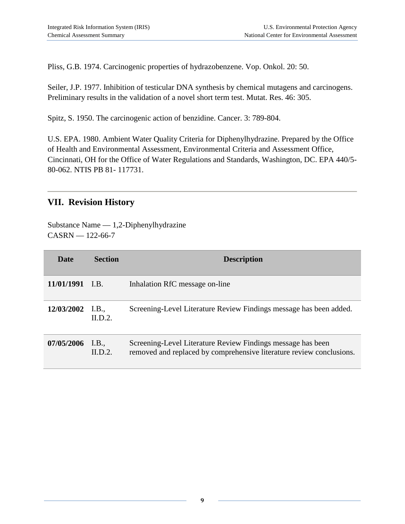Pliss, G.B. 1974. Carcinogenic properties of hydrazobenzene. Vop. Onkol. 20: 50.

Seiler, J.P. 1977. Inhibition of testicular DNA synthesis by chemical mutagens and carcinogens. Preliminary results in the validation of a novel short term test. Mutat. Res. 46: 305.

Spitz, S. 1950. The carcinogenic action of benzidine. Cancer. 3: 789-804.

U.S. EPA. 1980. Ambient Water Quality Criteria for Diphenylhydrazine. Prepared by the Office of Health and Environmental Assessment, Environmental Criteria and Assessment Office, Cincinnati, OH for the Office of Water Regulations and Standards, Washington, DC. EPA 440/5- 80-062. NTIS PB 81- 117731.

# **VII. Revision History**

Substance Name — 1,2-Diphenylhydrazine  $CASRN - 122-66-7$ 

| Date               | <b>Section</b> | <b>Description</b>                                                                                                                  |
|--------------------|----------------|-------------------------------------------------------------------------------------------------------------------------------------|
| 11/01/1991 I.B.    |                | Inhalation RfC message on-line                                                                                                      |
| $12/03/2002$ I.B., | ILD.2.         | Screening-Level Literature Review Findings message has been added.                                                                  |
| $07/05/2006$ I.B.  | ILD.2          | Screening-Level Literature Review Findings message has been<br>removed and replaced by comprehensive literature review conclusions. |